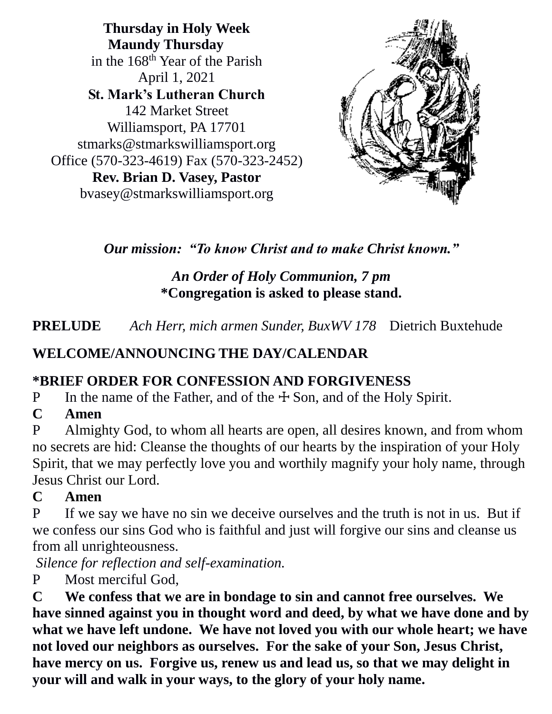**Thursday in Holy Week Maundy Thursday** in the 168th Year of the Parish April 1, 2021 **St. Mark's Lutheran Church** 142 Market Street Williamsport, PA 17701 stmarks@stmarkswilliamsport.org Office (570-323-4619) Fax (570-323-2452) **Rev. Brian D. Vasey, Pastor** bvasey@stmarkswilliamsport.org



*Our mission: "To know Christ and to make Christ known."* 

### *An Order of Holy Communion, 7 pm*  **\*Congregation is asked to please stand.**

**PRELUDE** *Ach Herr, mich armen Sunder, BuxWV 178* Dietrich Buxtehude

# **WELCOME/ANNOUNCING THE DAY/CALENDAR**

### **\*BRIEF ORDER FOR CONFESSION AND FORGIVENESS**

P In the name of the Father, and of the  $\pm$  Son, and of the Holy Spirit.

### **C Amen**

P Almighty God, to whom all hearts are open, all desires known, and from whom no secrets are hid: Cleanse the thoughts of our hearts by the inspiration of your Holy Spirit, that we may perfectly love you and worthily magnify your holy name, through Jesus Christ our Lord.

### **C Amen**

P If we say we have no sin we deceive ourselves and the truth is not in us. But if we confess our sins God who is faithful and just will forgive our sins and cleanse us from all unrighteousness.

*Silence for reflection and self-examination.*

P Most merciful God,

**C We confess that we are in bondage to sin and cannot free ourselves. We have sinned against you in thought word and deed, by what we have done and by what we have left undone. We have not loved you with our whole heart; we have not loved our neighbors as ourselves. For the sake of your Son, Jesus Christ, have mercy on us. Forgive us, renew us and lead us, so that we may delight in your will and walk in your ways, to the glory of your holy name.**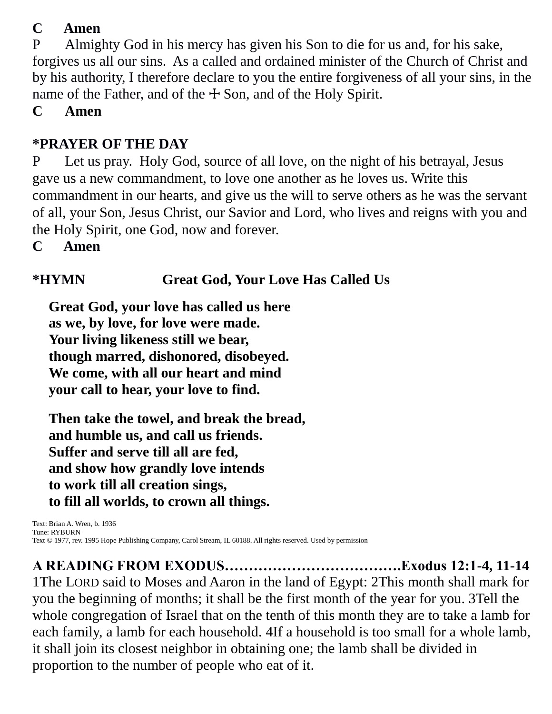### **C Amen**

P Almighty God in his mercy has given his Son to die for us and, for his sake, forgives us all our sins. As a called and ordained minister of the Church of Christ and by his authority, I therefore declare to you the entire forgiveness of all your sins, in the name of the Father, and of the  $\pm$  Son, and of the Holy Spirit.

**C Amen**

### **\*PRAYER OF THE DAY**

P Let us pray. Holy God, source of all love, on the night of his betrayal, Jesus gave us a new commandment, to love one another as he loves us. Write this commandment in our hearts, and give us the will to serve others as he was the servant of all, your Son, Jesus Christ, our Savior and Lord, who lives and reigns with you and the Holy Spirit, one God, now and forever.

**C Amen**

### **\*HYMN Great God, Your Love Has Called Us**

**Great God, your love has called us here as we, by love, for love were made. Your living likeness still we bear, though marred, dishonored, disobeyed. We come, with all our heart and mind your call to hear, your love to find.**

**Then take the towel, and break the bread, and humble us, and call us friends. Suffer and serve till all are fed, and show how grandly love intends to work till all creation sings, to fill all worlds, to crown all things.**

Text: Brian A. Wren, b. 1936 Tune: RYBURN Text © 1977, rev. 1995 Hope Publishing Company, Carol Stream, IL 60188. All rights reserved. Used by permission

**A READING FROM EXODUS……………………………….Exodus 12:1-4, 11-14**  1The LORD said to Moses and Aaron in the land of Egypt: 2This month shall mark for you the beginning of months; it shall be the first month of the year for you. 3Tell the whole congregation of Israel that on the tenth of this month they are to take a lamb for each family, a lamb for each household. 4If a household is too small for a whole lamb, it shall join its closest neighbor in obtaining one; the lamb shall be divided in proportion to the number of people who eat of it.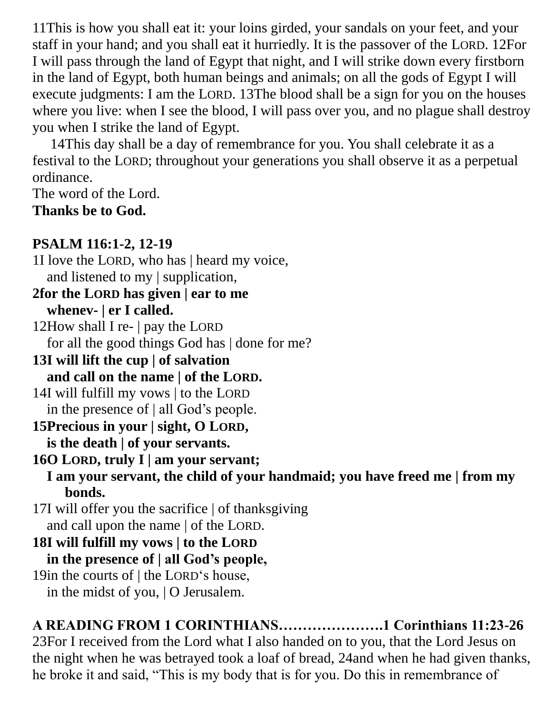11This is how you shall eat it: your loins girded, your sandals on your feet, and your staff in your hand; and you shall eat it hurriedly. It is the passover of the LORD. 12For I will pass through the land of Egypt that night, and I will strike down every firstborn in the land of Egypt, both human beings and animals; on all the gods of Egypt I will execute judgments: I am the LORD. 13The blood shall be a sign for you on the houses where you live: when I see the blood, I will pass over you, and no plague shall destroy you when I strike the land of Egypt.

14This day shall be a day of remembrance for you. You shall celebrate it as a festival to the LORD; throughout your generations you shall observe it as a perpetual ordinance.

The word of the Lord.

**Thanks be to God.**

### **PSALM 116:1-2, 12-19**

1I love the LORD, who has | heard my voice, and listened to my | supplication,

**2for the LORD has given | ear to me whenev- | er I called.**

12How shall I re- | pay the LORD for all the good things God has | done for me?

- **13I will lift the cup | of salvation and call on the name | of the LORD.**
- 14I will fulfill my vows | to the LORD in the presence of | all God's people.
- **15Precious in your | sight, O LORD, is the death | of your servants.**
- **16O LORD, truly I | am your servant; I am your servant, the child of your handmaid; you have freed me | from my bonds.**
- 17I will offer you the sacrifice | of thanksgiving and call upon the name | of the LORD.

**18I will fulfill my vows | to the LORD in the presence of | all God's people,**

19in the courts of | the LORD's house, in the midst of you, | O Jerusalem.

# **A READING FROM 1 CORINTHIANS………………….1 Corinthians 11:23-26**

23For I received from the Lord what I also handed on to you, that the Lord Jesus on the night when he was betrayed took a loaf of bread, 24and when he had given thanks, he broke it and said, "This is my body that is for you. Do this in remembrance of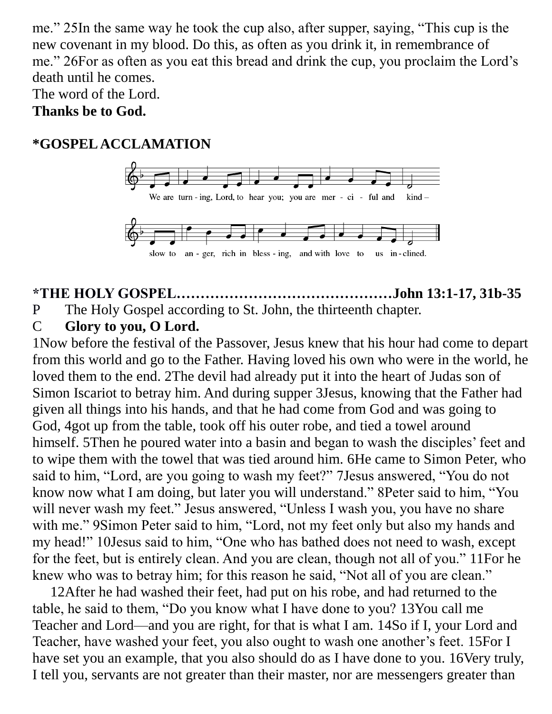me." 25In the same way he took the cup also, after supper, saying, "This cup is the new covenant in my blood. Do this, as often as you drink it, in remembrance of me." 26For as often as you eat this bread and drink the cup, you proclaim the Lord's death until he comes.

The word of the Lord.

#### **Thanks be to God.**

### **\*GOSPEL ACCLAMATION**



### **\*THE HOLY GOSPEL………………………………………John 13:1-17, 31b-35** P The Holy Gospel according to St. John, the thirteenth chapter.

### C **Glory to you, O Lord.**

1Now before the festival of the Passover, Jesus knew that his hour had come to depart from this world and go to the Father. Having loved his own who were in the world, he loved them to the end. 2The devil had already put it into the heart of Judas son of Simon Iscariot to betray him. And during supper 3Jesus, knowing that the Father had given all things into his hands, and that he had come from God and was going to God, 4got up from the table, took off his outer robe, and tied a towel around himself. 5Then he poured water into a basin and began to wash the disciples' feet and to wipe them with the towel that was tied around him. 6He came to Simon Peter, who said to him, "Lord, are you going to wash my feet?" 7Jesus answered, "You do not know now what I am doing, but later you will understand." 8Peter said to him, "You will never wash my feet." Jesus answered, "Unless I wash you, you have no share with me." 9Simon Peter said to him, "Lord, not my feet only but also my hands and my head!" 10Jesus said to him, "One who has bathed does not need to wash, except for the feet, but is entirely clean. And you are clean, though not all of you." 11For he knew who was to betray him; for this reason he said, "Not all of you are clean."

12After he had washed their feet, had put on his robe, and had returned to the table, he said to them, "Do you know what I have done to you? 13You call me Teacher and Lord—and you are right, for that is what I am. 14So if I, your Lord and Teacher, have washed your feet, you also ought to wash one another's feet. 15For I have set you an example, that you also should do as I have done to you. 16Very truly, I tell you, servants are not greater than their master, nor are messengers greater than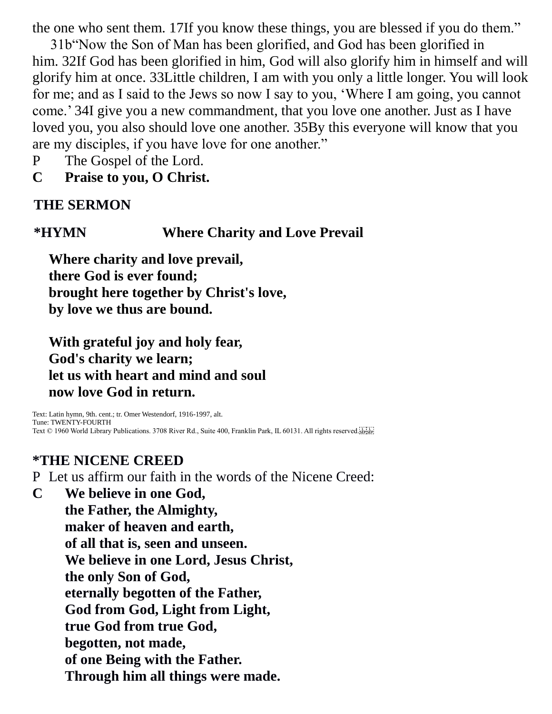the one who sent them. 17If you know these things, you are blessed if you do them."

31b"Now the Son of Man has been glorified, and God has been glorified in him. 32If God has been glorified in him, God will also glorify him in himself and will glorify him at once. 33Little children, I am with you only a little longer. You will look for me; and as I said to the Jews so now I say to you, 'Where I am going, you cannot come.' 34I give you a new commandment, that you love one another. Just as I have loved you, you also should love one another. 35By this everyone will know that you are my disciples, if you have love for one another."

P The Gospel of the Lord.

**C Praise to you, O Christ.**

#### **THE SERMON**

#### **\*HYMN Where Charity and Love Prevail**

**Where charity and love prevail, there God is ever found; brought here together by Christ's love, by love we thus are bound.**

#### **With grateful joy and holy fear, God's charity we learn; let us with heart and mind and soul now love God in return.**

Text: Latin hymn, 9th. cent.; tr. Omer Westendorf, 1916-1997, alt. Tune: TWENTY-FOURTH Text © 1960 World Library Publications. 3708 River Rd., Suite 400, Franklin Park, IL 60131. All rights reserved.

#### **\*THE NICENE CREED**

P Let us affirm our faith in the words of the Nicene Creed:

**C We believe in one God,** 

**the Father, the Almighty, maker of heaven and earth, of all that is, seen and unseen. We believe in one Lord, Jesus Christ, the only Son of God, eternally begotten of the Father, God from God, Light from Light, true God from true God, begotten, not made, of one Being with the Father. Through him all things were made.**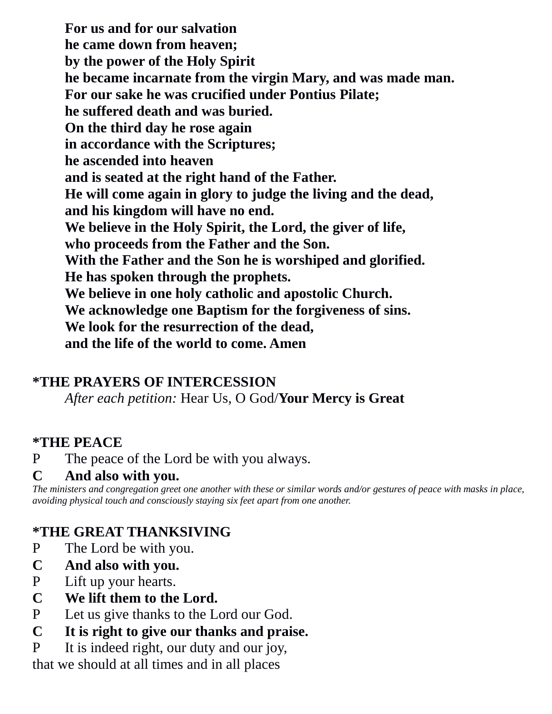**For us and for our salvation he came down from heaven; by the power of the Holy Spirit he became incarnate from the virgin Mary, and was made man. For our sake he was crucified under Pontius Pilate; he suffered death and was buried. On the third day he rose again in accordance with the Scriptures; he ascended into heaven and is seated at the right hand of the Father. He will come again in glory to judge the living and the dead, and his kingdom will have no end. We believe in the Holy Spirit, the Lord, the giver of life, who proceeds from the Father and the Son. With the Father and the Son he is worshiped and glorified. He has spoken through the prophets. We believe in one holy catholic and apostolic Church. We acknowledge one Baptism for the forgiveness of sins. We look for the resurrection of the dead, and the life of the world to come. Amen**

#### **\*THE PRAYERS OF INTERCESSION**

*After each petition:* Hear Us, O God/**Your Mercy is Great**

#### **\*THE PEACE**

P The peace of the Lord be with you always.

#### **C And also with you.**

*The ministers and congregation greet one another with these or similar words and/or gestures of peace with masks in place, avoiding physical touch and consciously staying six feet apart from one another.*

### **\*THE GREAT THANKSIVING**

- P The Lord be with you.
- **C And also with you.**
- P Lift up your hearts.
- **C We lift them to the Lord.**
- P Let us give thanks to the Lord our God.
- **C It is right to give our thanks and praise.**

P It is indeed right, our duty and our joy,

that we should at all times and in all places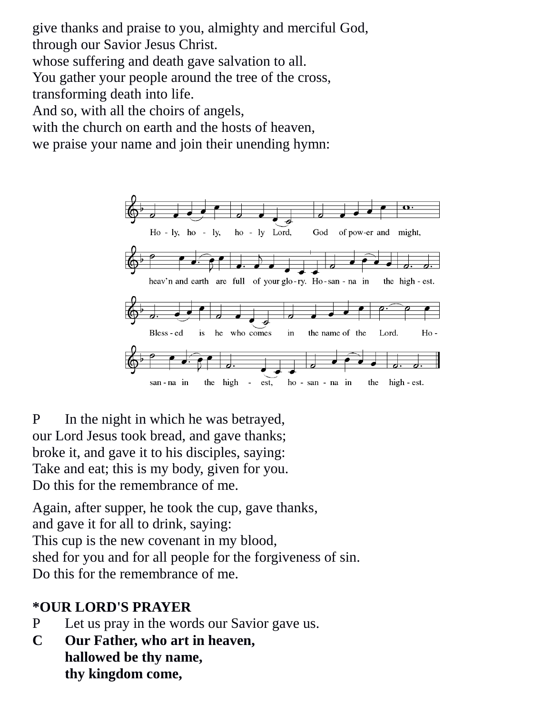give thanks and praise to you, almighty and merciful God, through our Savior Jesus Christ.

whose suffering and death gave salvation to all.

You gather your people around the tree of the cross,

transforming death into life.

And so, with all the choirs of angels,

with the church on earth and the hosts of heaven,

we praise your name and join their unending hymn:



P In the night in which he was betrayed, our Lord Jesus took bread, and gave thanks; broke it, and gave it to his disciples, saying: Take and eat; this is my body, given for you. Do this for the remembrance of me.

Again, after supper, he took the cup, gave thanks, and gave it for all to drink, saying: This cup is the new covenant in my blood, shed for you and for all people for the forgiveness of sin. Do this for the remembrance of me.

### **\*OUR LORD'S PRAYER**

- P Let us pray in the words our Savior gave us.
- **C Our Father, who art in heaven, hallowed be thy name, thy kingdom come,**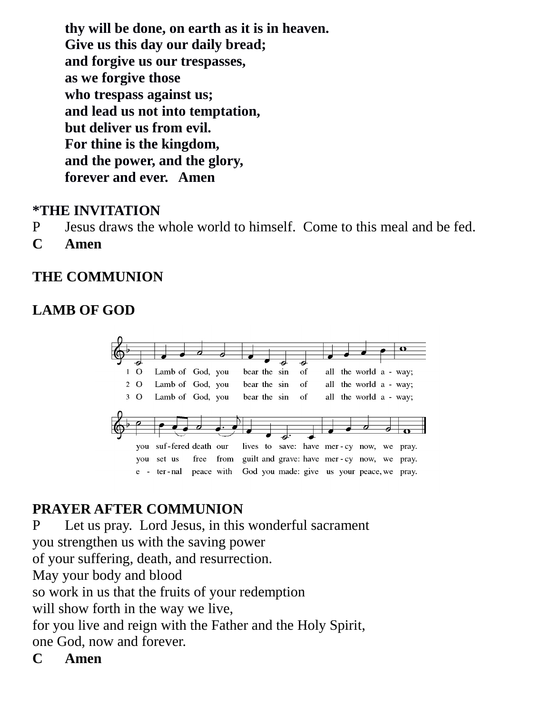**thy will be done, on earth as it is in heaven. Give us this day our daily bread; and forgive us our trespasses, as we forgive those who trespass against us; and lead us not into temptation, but deliver us from evil. For thine is the kingdom, and the power, and the glory, forever and ever. Amen**

#### **\*THE INVITATION**

- P Jesus draws the whole world to himself. Come to this meal and be fed.
- **C Amen**

#### **THE COMMUNION**

### **LAMB OF GOD**



### **PRAYER AFTER COMMUNION**

P Let us pray. Lord Jesus, in this wonderful sacrament you strengthen us with the saving power of your suffering, death, and resurrection. May your body and blood so work in us that the fruits of your redemption will show forth in the way we live, for you live and reign with the Father and the Holy Spirit, one God, now and forever.

**C Amen**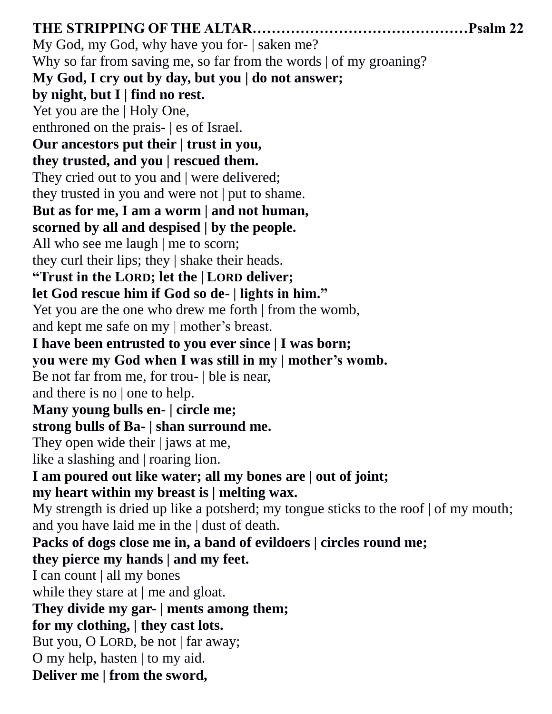**THE STRIPPING OF THE ALTAR………………………………………Psalm 22**  My God, my God, why have you for- | saken me? Why so far from saving me, so far from the words | of my groaning? **My God, I cry out by day, but you | do not answer; by night, but I | find no rest.**  Yet you are the | Holy One, enthroned on the prais- | es of Israel. **Our ancestors put their | trust in you, they trusted, and you | rescued them.**  They cried out to you and | were delivered; they trusted in you and were not | put to shame. **But as for me, I am a worm | and not human, scorned by all and despised | by the people.**  All who see me laugh | me to scorn; they curl their lips; they | shake their heads. **"Trust in the LORD; let the | LORD deliver; let God rescue him if God so de- | lights in him."**  Yet you are the one who drew me forth | from the womb, and kept me safe on my | mother's breast. **I have been entrusted to you ever since | I was born; you were my God when I was still in my | mother's womb.**  Be not far from me, for trou- | ble is near, and there is no | one to help. **Many young bulls en- | circle me; strong bulls of Ba- | shan surround me.**  They open wide their | jaws at me, like a slashing and | roaring lion. **I am poured out like water; all my bones are | out of joint; my heart within my breast is | melting wax.**  My strength is dried up like a potsherd; my tongue sticks to the roof  $|$  of my mouth; and you have laid me in the | dust of death. **Packs of dogs close me in, a band of evildoers | circles round me; they pierce my hands | and my feet.**  I can count | all my bones while they stare at | me and gloat. **They divide my gar- | ments among them; for my clothing, | they cast lots.**  But you, O LORD, be not | far away; O my help, hasten | to my aid. **Deliver me | from the sword,**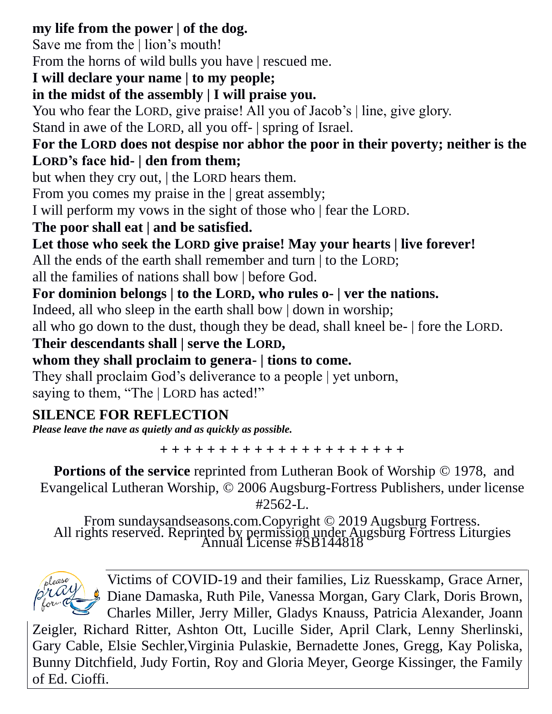### **my life from the power | of the dog.**

Save me from the | lion's mouth!

From the horns of wild bulls you have | rescued me.

# **I will declare your name | to my people;**

### **in the midst of the assembly | I will praise you.**

You who fear the LORD, give praise! All you of Jacob's | line, give glory.

Stand in awe of the LORD, all you off- | spring of Israel.

### **For the LORD does not despise nor abhor the poor in their poverty; neither is the LORD's face hid- | den from them;**

but when they cry out, | the LORD hears them.

From you comes my praise in the | great assembly;

I will perform my vows in the sight of those who | fear the LORD.

# **The poor shall eat | and be satisfied.**

**Let those who seek the LORD give praise! May your hearts | live forever!** 

All the ends of the earth shall remember and turn | to the LORD;

all the families of nations shall bow | before God.

### **For dominion belongs | to the LORD, who rules o- | ver the nations.**

Indeed, all who sleep in the earth shall bow | down in worship;

all who go down to the dust, though they be dead, shall kneel be- | fore the LORD.

### **Their descendants shall | serve the LORD,**

**whom they shall proclaim to genera- | tions to come.** 

They shall proclaim God's deliverance to a people | yet unborn, saying to them, "The | LORD has acted!"

# **SILENCE FOR REFLECTION**

*Please leave the nave as quietly and as quickly as possible.*

**+ + + + + + + + + + + + + + + + + + + + +**

**Portions of the service** reprinted from Lutheran Book of Worship  $\odot$  1978, and Evangelical Lutheran Worship, © 2006 Augsburg-Fortress Publishers, under license  $#2562-I.$ 

From sundaysandseasons.com.Copyright © 2019 Augsburg Fortress. All rights reserved. Reprinted by permission under Augsburg Fortress Liturgies Annual License #SB144818



Victims of COVID-19 and their families, Liz Ruesskamp, Grace Arner, Diane Damaska, Ruth Pile, Vanessa Morgan, Gary Clark, Doris Brown, Charles Miller, Jerry Miller, Gladys Knauss, Patricia Alexander, Joann

Zeigler, Richard Ritter, Ashton Ott, Lucille Sider, April Clark, Lenny Sherlinski, Gary Cable, Elsie Sechler,Virginia Pulaskie, Bernadette Jones, Gregg, Kay Poliska, Bunny Ditchfield, Judy Fortin, Roy and Gloria Meyer, George Kissinger, the Family of Ed. Cioffi.